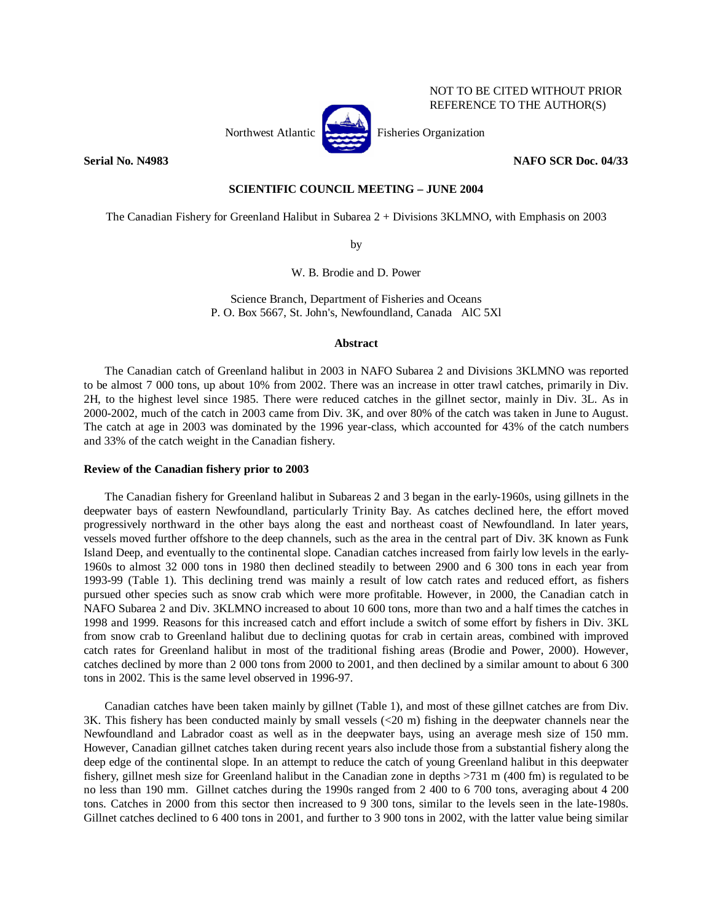

REFERENCE TO THE AUTHOR(S)

NOT TO BE CITED WITHOUT PRIOR

**Serial No. N4983 NAFO SCR Doc. 04/33** 

# **SCIENTIFIC COUNCIL MEETING – JUNE 2004**

The Canadian Fishery for Greenland Halibut in Subarea 2 + Divisions 3KLMNO, with Emphasis on 2003

by

W. B. Brodie and D. Power

Science Branch, Department of Fisheries and Oceans P. O. Box 5667, St. John's, Newfoundland, Canada AlC 5Xl

## **Abstract**

 The Canadian catch of Greenland halibut in 2003 in NAFO Subarea 2 and Divisions 3KLMNO was reported to be almost 7 000 tons, up about 10% from 2002. There was an increase in otter trawl catches, primarily in Div. 2H, to the highest level since 1985. There were reduced catches in the gillnet sector, mainly in Div. 3L. As in 2000-2002, much of the catch in 2003 came from Div. 3K, and over 80% of the catch was taken in June to August. The catch at age in 2003 was dominated by the 1996 year-class, which accounted for 43% of the catch numbers and 33% of the catch weight in the Canadian fishery.

### **Review of the Canadian fishery prior to 2003**

 The Canadian fishery for Greenland halibut in Subareas 2 and 3 began in the early-1960s, using gillnets in the deepwater bays of eastern Newfoundland, particularly Trinity Bay. As catches declined here, the effort moved progressively northward in the other bays along the east and northeast coast of Newfoundland. In later years, vessels moved further offshore to the deep channels, such as the area in the central part of Div. 3K known as Funk Island Deep, and eventually to the continental slope. Canadian catches increased from fairly low levels in the early-1960s to almost 32 000 tons in 1980 then declined steadily to between 2900 and 6 300 tons in each year from 1993-99 (Table 1). This declining trend was mainly a result of low catch rates and reduced effort, as fishers pursued other species such as snow crab which were more profitable. However, in 2000, the Canadian catch in NAFO Subarea 2 and Div. 3KLMNO increased to about 10 600 tons, more than two and a half times the catches in 1998 and 1999. Reasons for this increased catch and effort include a switch of some effort by fishers in Div. 3KL from snow crab to Greenland halibut due to declining quotas for crab in certain areas, combined with improved catch rates for Greenland halibut in most of the traditional fishing areas (Brodie and Power, 2000). However, catches declined by more than 2 000 tons from 2000 to 2001, and then declined by a similar amount to about 6 300 tons in 2002. This is the same level observed in 1996-97.

Canadian catches have been taken mainly by gillnet (Table 1), and most of these gillnet catches are from Div. 3K. This fishery has been conducted mainly by small vessels (<20 m) fishing in the deepwater channels near the Newfoundland and Labrador coast as well as in the deepwater bays, using an average mesh size of 150 mm. However, Canadian gillnet catches taken during recent years also include those from a substantial fishery along the deep edge of the continental slope. In an attempt to reduce the catch of young Greenland halibut in this deepwater fishery, gillnet mesh size for Greenland halibut in the Canadian zone in depths  $>731$  m (400 fm) is regulated to be no less than 190 mm. Gillnet catches during the 1990s ranged from 2 400 to 6 700 tons, averaging about 4 200 tons. Catches in 2000 from this sector then increased to 9 300 tons, similar to the levels seen in the late-1980s. Gillnet catches declined to 6 400 tons in 2001, and further to 3 900 tons in 2002, with the latter value being similar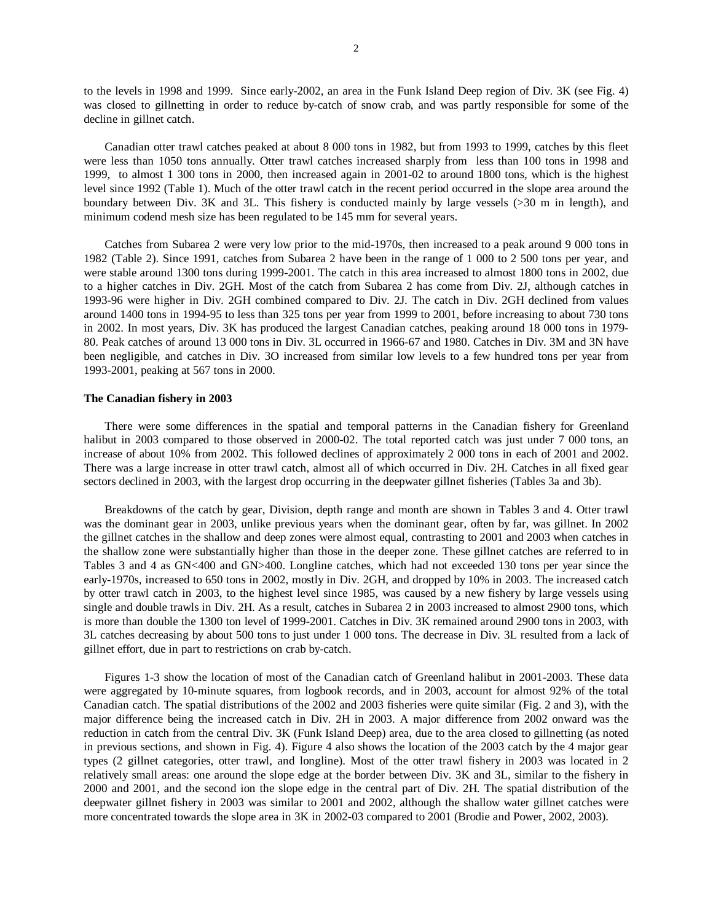to the levels in 1998 and 1999. Since early-2002, an area in the Funk Island Deep region of Div. 3K (see Fig. 4) was closed to gillnetting in order to reduce by-catch of snow crab, and was partly responsible for some of the decline in gillnet catch.

 Canadian otter trawl catches peaked at about 8 000 tons in 1982, but from 1993 to 1999, catches by this fleet were less than 1050 tons annually. Otter trawl catches increased sharply from less than 100 tons in 1998 and 1999, to almost 1 300 tons in 2000, then increased again in 2001-02 to around 1800 tons, which is the highest level since 1992 (Table 1). Much of the otter trawl catch in the recent period occurred in the slope area around the boundary between Div. 3K and 3L. This fishery is conducted mainly by large vessels (>30 m in length), and minimum codend mesh size has been regulated to be 145 mm for several years.

 Catches from Subarea 2 were very low prior to the mid-1970s, then increased to a peak around 9 000 tons in 1982 (Table 2). Since 1991, catches from Subarea 2 have been in the range of 1 000 to 2 500 tons per year, and were stable around 1300 tons during 1999-2001. The catch in this area increased to almost 1800 tons in 2002, due to a higher catches in Div. 2GH. Most of the catch from Subarea 2 has come from Div. 2J, although catches in 1993-96 were higher in Div. 2GH combined compared to Div. 2J. The catch in Div. 2GH declined from values around 1400 tons in 1994-95 to less than 325 tons per year from 1999 to 2001, before increasing to about 730 tons in 2002. In most years, Div. 3K has produced the largest Canadian catches, peaking around 18 000 tons in 1979- 80. Peak catches of around 13 000 tons in Div. 3L occurred in 1966-67 and 1980. Catches in Div. 3M and 3N have been negligible, and catches in Div. 3O increased from similar low levels to a few hundred tons per year from 1993-2001, peaking at 567 tons in 2000.

#### **The Canadian fishery in 2003**

 There were some differences in the spatial and temporal patterns in the Canadian fishery for Greenland halibut in 2003 compared to those observed in 2000-02. The total reported catch was just under 7 000 tons, an increase of about 10% from 2002. This followed declines of approximately 2 000 tons in each of 2001 and 2002. There was a large increase in otter trawl catch, almost all of which occurred in Div. 2H. Catches in all fixed gear sectors declined in 2003, with the largest drop occurring in the deepwater gillnet fisheries (Tables 3a and 3b).

 Breakdowns of the catch by gear, Division, depth range and month are shown in Tables 3 and 4. Otter trawl was the dominant gear in 2003, unlike previous years when the dominant gear, often by far, was gillnet. In 2002 the gillnet catches in the shallow and deep zones were almost equal, contrasting to 2001 and 2003 when catches in the shallow zone were substantially higher than those in the deeper zone. These gillnet catches are referred to in Tables 3 and 4 as GN<400 and GN>400. Longline catches, which had not exceeded 130 tons per year since the early-1970s, increased to 650 tons in 2002, mostly in Div. 2GH, and dropped by 10% in 2003. The increased catch by otter trawl catch in 2003, to the highest level since 1985, was caused by a new fishery by large vessels using single and double trawls in Div. 2H. As a result, catches in Subarea 2 in 2003 increased to almost 2900 tons, which is more than double the 1300 ton level of 1999-2001. Catches in Div. 3K remained around 2900 tons in 2003, with 3L catches decreasing by about 500 tons to just under 1 000 tons. The decrease in Div. 3L resulted from a lack of gillnet effort, due in part to restrictions on crab by-catch.

 Figures 1-3 show the location of most of the Canadian catch of Greenland halibut in 2001-2003. These data were aggregated by 10-minute squares, from logbook records, and in 2003, account for almost 92% of the total Canadian catch. The spatial distributions of the 2002 and 2003 fisheries were quite similar (Fig. 2 and 3), with the major difference being the increased catch in Div. 2H in 2003. A major difference from 2002 onward was the reduction in catch from the central Div. 3K (Funk Island Deep) area, due to the area closed to gillnetting (as noted in previous sections, and shown in Fig. 4). Figure 4 also shows the location of the 2003 catch by the 4 major gear types (2 gillnet categories, otter trawl, and longline). Most of the otter trawl fishery in 2003 was located in 2 relatively small areas: one around the slope edge at the border between Div. 3K and 3L, similar to the fishery in 2000 and 2001, and the second ion the slope edge in the central part of Div. 2H. The spatial distribution of the deepwater gillnet fishery in 2003 was similar to 2001 and 2002, although the shallow water gillnet catches were more concentrated towards the slope area in 3K in 2002-03 compared to 2001 (Brodie and Power, 2002, 2003).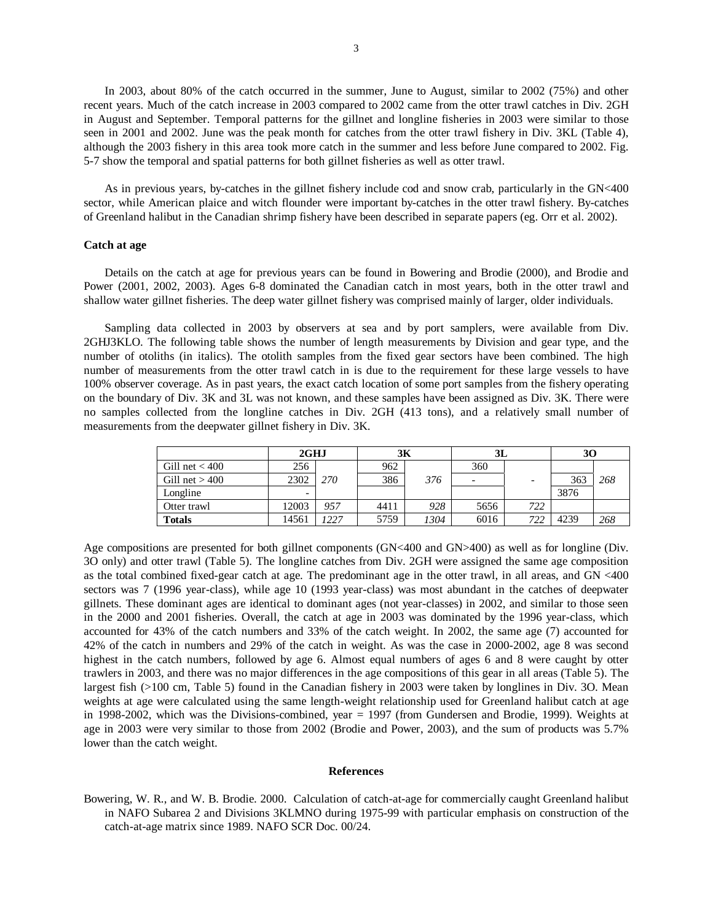In 2003, about 80% of the catch occurred in the summer, June to August, similar to 2002 (75%) and other recent years. Much of the catch increase in 2003 compared to 2002 came from the otter trawl catches in Div. 2GH in August and September. Temporal patterns for the gillnet and longline fisheries in 2003 were similar to those seen in 2001 and 2002. June was the peak month for catches from the otter trawl fishery in Div. 3KL (Table 4), although the 2003 fishery in this area took more catch in the summer and less before June compared to 2002. Fig. 5-7 show the temporal and spatial patterns for both gillnet fisheries as well as otter trawl.

 As in previous years, by-catches in the gillnet fishery include cod and snow crab, particularly in the GN<400 sector, while American plaice and witch flounder were important by-catches in the otter trawl fishery. By-catches of Greenland halibut in the Canadian shrimp fishery have been described in separate papers (eg. Orr et al. 2002).

#### **Catch at age**

 Details on the catch at age for previous years can be found in Bowering and Brodie (2000), and Brodie and Power (2001, 2002, 2003). Ages 6-8 dominated the Canadian catch in most years, both in the otter trawl and shallow water gillnet fisheries. The deep water gillnet fishery was comprised mainly of larger, older individuals.

 Sampling data collected in 2003 by observers at sea and by port samplers, were available from Div. 2GHJ3KLO. The following table shows the number of length measurements by Division and gear type, and the number of otoliths (in italics). The otolith samples from the fixed gear sectors have been combined. The high number of measurements from the otter trawl catch in is due to the requirement for these large vessels to have 100% observer coverage. As in past years, the exact catch location of some port samples from the fishery operating on the boundary of Div. 3K and 3L was not known, and these samples have been assigned as Div. 3K. There were no samples collected from the longline catches in Div. 2GH (413 tons), and a relatively small number of measurements from the deepwater gillnet fishery in Div. 3K.

|                  | 2GHJ                     |      | 3К   |      | 3L                       |                          | 30   |     |
|------------------|--------------------------|------|------|------|--------------------------|--------------------------|------|-----|
| Gill net $<$ 400 | 256                      |      | 962  |      | 360                      |                          |      |     |
| Gill net $>400$  | 2302                     | 270  | 386  | 376  | $\overline{\phantom{0}}$ | $\overline{\phantom{a}}$ | 363  | 268 |
| Longline         | $\overline{\phantom{0}}$ |      |      |      |                          |                          | 3876 |     |
| Otter trawl      | 12003                    | 957  | 4411 | 928  | 5656                     | 722                      |      |     |
| <b>Totals</b>    | 14561                    | 1227 | 5759 | 1304 | 6016                     | 722                      | 4239 | 268 |

Age compositions are presented for both gillnet components (GN<400 and GN>400) as well as for longline (Div. 3O only) and otter trawl (Table 5). The longline catches from Div. 2GH were assigned the same age composition as the total combined fixed-gear catch at age. The predominant age in the otter trawl, in all areas, and GN <400 sectors was 7 (1996 year-class), while age 10 (1993 year-class) was most abundant in the catches of deepwater gillnets. These dominant ages are identical to dominant ages (not year-classes) in 2002, and similar to those seen in the 2000 and 2001 fisheries. Overall, the catch at age in 2003 was dominated by the 1996 year-class, which accounted for 43% of the catch numbers and 33% of the catch weight. In 2002, the same age (7) accounted for 42% of the catch in numbers and 29% of the catch in weight. As was the case in 2000-2002, age 8 was second highest in the catch numbers, followed by age 6. Almost equal numbers of ages 6 and 8 were caught by otter trawlers in 2003, and there was no major differences in the age compositions of this gear in all areas (Table 5). The largest fish (>100 cm, Table 5) found in the Canadian fishery in 2003 were taken by longlines in Div. 3O. Mean weights at age were calculated using the same length-weight relationship used for Greenland halibut catch at age in 1998-2002, which was the Divisions-combined, year = 1997 (from Gundersen and Brodie, 1999). Weights at age in 2003 were very similar to those from 2002 (Brodie and Power, 2003), and the sum of products was 5.7% lower than the catch weight.

#### **References**

Bowering, W. R., and W. B. Brodie. 2000. Calculation of catch-at-age for commercially caught Greenland halibut in NAFO Subarea 2 and Divisions 3KLMNO during 1975-99 with particular emphasis on construction of the catch-at-age matrix since 1989. NAFO SCR Doc. 00/24.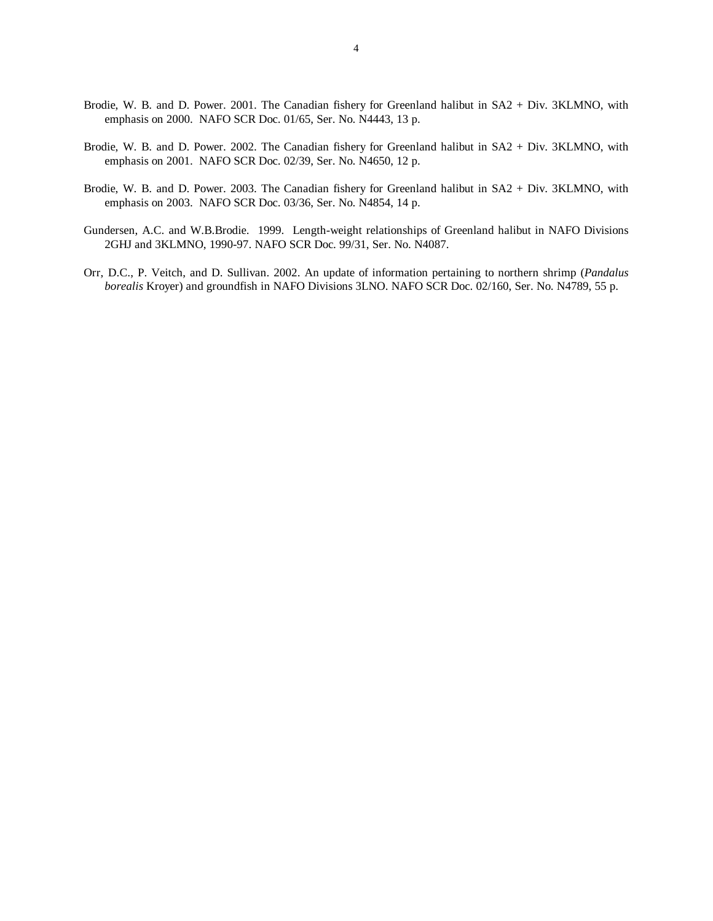- Brodie, W. B. and D. Power. 2001. The Canadian fishery for Greenland halibut in SA2 + Div. 3KLMNO, with emphasis on 2000. NAFO SCR Doc. 01/65, Ser. No. N4443, 13 p.
- Brodie, W. B. and D. Power. 2002. The Canadian fishery for Greenland halibut in SA2 + Div. 3KLMNO, with emphasis on 2001. NAFO SCR Doc. 02/39, Ser. No. N4650, 12 p.
- Brodie, W. B. and D. Power. 2003. The Canadian fishery for Greenland halibut in SA2 + Div. 3KLMNO, with emphasis on 2003. NAFO SCR Doc. 03/36, Ser. No. N4854, 14 p.
- Gundersen, A.C. and W.B.Brodie. 1999. Length-weight relationships of Greenland halibut in NAFO Divisions 2GHJ and 3KLMNO, 1990-97. NAFO SCR Doc. 99/31, Ser. No. N4087.
- Orr, D.C., P. Veitch, and D. Sullivan. 2002. An update of information pertaining to northern shrimp (*Pandalus borealis* Kroyer) and groundfish in NAFO Divisions 3LNO. NAFO SCR Doc. 02/160, Ser. No. N4789, 55 p.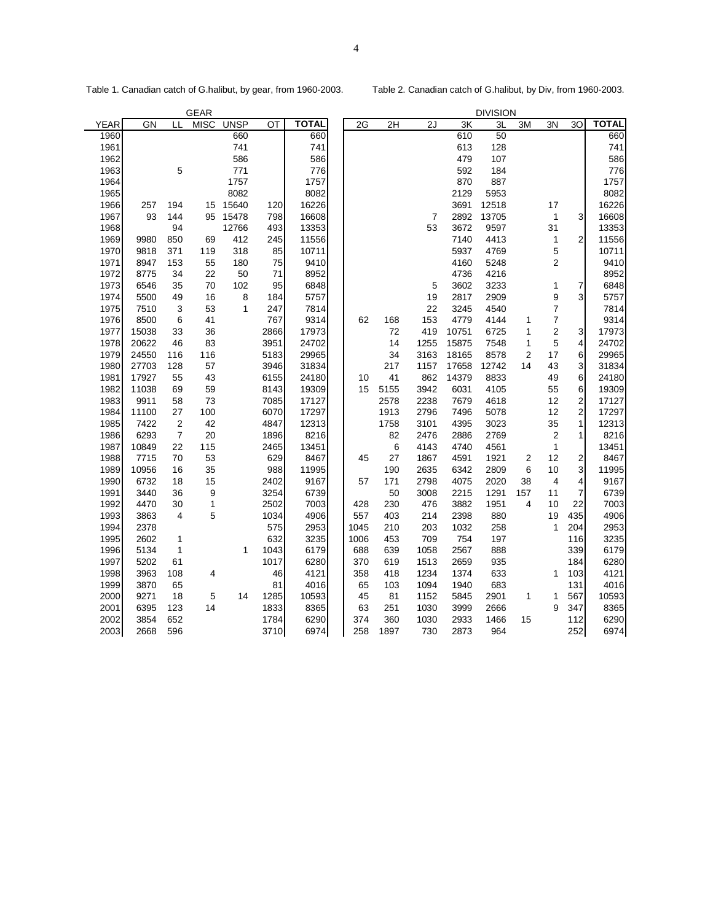Table 1. Canadian catch of G.halibut, by gear, from 1960-2003. Table 2. Canadian catch of G.halibut, by Div, from 1960-2003.

|      |       | <b>GEAR</b><br><b>DIVISION</b> |              |             |      |              |      |      |      |       |       |                |                         |                         |              |
|------|-------|--------------------------------|--------------|-------------|------|--------------|------|------|------|-------|-------|----------------|-------------------------|-------------------------|--------------|
| YEAR | GN    | LL                             | <b>MISC</b>  | <b>UNSP</b> | ОT   | <b>TOTAL</b> | 2G   | 2H   | 2J   | 3K    | 3L    | 3M             | 3N                      | 30                      | <b>TOTAL</b> |
| 1960 |       |                                |              | 660         |      | 660          |      |      |      | 610   | 50    |                |                         |                         | 660          |
| 1961 |       |                                |              | 741         |      | 741          |      |      |      | 613   | 128   |                |                         |                         | 741          |
| 1962 |       |                                |              | 586         |      | 586          |      |      |      | 479   | 107   |                |                         |                         | 586          |
| 1963 |       | 5                              |              | 771         |      | 776          |      |      |      | 592   | 184   |                |                         |                         | 776          |
| 1964 |       |                                |              | 1757        |      | 1757         |      |      |      | 870   | 887   |                |                         |                         | 1757         |
| 1965 |       |                                |              | 8082        |      | 8082         |      |      |      | 2129  | 5953  |                |                         |                         | 8082         |
| 1966 | 257   | 194                            | 15           | 15640       | 120  | 16226        |      |      |      | 3691  | 12518 |                | 17                      |                         | 16226        |
| 1967 | 93    | 144                            | 95           | 15478       | 798  | 16608        |      |      | 7    | 2892  | 13705 |                | 1                       | $\overline{3}$          | 16608        |
| 1968 |       | 94                             |              | 12766       | 493  | 13353        |      |      | 53   | 3672  | 9597  |                | 31                      |                         | 13353        |
| 1969 | 9980  | 850                            | 69           | 412         | 245  | 11556        |      |      |      | 7140  | 4413  |                | 1                       | $\overline{2}$          | 11556        |
| 1970 | 9818  | 371                            | 119          | 318         | 85   | 10711        |      |      |      | 5937  | 4769  |                | 5                       |                         | 10711        |
| 1971 | 8947  | 153                            | 55           | 180         | 75   | 9410         |      |      |      | 4160  | 5248  |                | 2                       |                         | 9410         |
| 1972 | 8775  | 34                             | 22           | 50          | 71   | 8952         |      |      |      | 4736  | 4216  |                |                         |                         | 8952         |
| 1973 | 6546  | 35                             | 70           | 102         | 95   | 6848         |      |      | 5    | 3602  | 3233  |                | 1                       | 7                       | 6848         |
| 1974 | 5500  | 49                             | 16           | 8           | 184  | 5757         |      |      | 19   | 2817  | 2909  |                | 9                       | $\overline{3}$          | 5757         |
| 1975 | 7510  | 3                              | 53           | 1           | 247  | 7814         |      |      | 22   | 3245  | 4540  |                | $\overline{7}$          |                         | 7814         |
| 1976 | 8500  | 6                              | 41           |             | 767  | 9314         | 62   | 168  | 153  | 4779  | 4144  | 1              | $\overline{7}$          |                         | 9314         |
| 1977 | 15038 | 33                             | 36           |             | 2866 | 17973        |      | 72   | 419  | 10751 | 6725  | 1              | $\overline{\mathbf{c}}$ | 3                       | 17973        |
| 1978 | 20622 | 46                             | 83           |             | 3951 | 24702        |      | 14   | 1255 | 15875 | 7548  | 1              | 5                       | $\vert 4 \vert$         | 24702        |
| 1979 | 24550 | 116                            | 116          |             | 5183 | 29965        |      | 34   | 3163 | 18165 | 8578  | $\overline{2}$ | 17                      | 6                       | 29965        |
| 1980 | 27703 | 128                            | 57           |             | 3946 | 31834        |      | 217  | 1157 | 17658 | 12742 | 14             | 43                      | $\overline{3}$          | 31834        |
| 1981 | 17927 | 55                             | 43           |             | 6155 | 24180        | 10   | 41   | 862  | 14379 | 8833  |                | 49                      | $6 \,$                  | 24180        |
| 1982 | 11038 | 69                             | 59           |             | 8143 | 19309        | 15   | 5155 | 3942 | 6031  | 4105  |                | 55                      | $6 \mid$                | 19309        |
| 1983 | 9911  | 58                             | 73           |             | 7085 | 17127        |      | 2578 | 2238 | 7679  | 4618  |                | 12                      | $\mathbf{2}$            | 17127        |
| 1984 | 11100 | 27                             | 100          |             | 6070 | 17297        |      | 1913 | 2796 | 7496  | 5078  |                | 12                      | $\overline{2}$          | 17297        |
| 1985 | 7422  | $\sqrt{2}$                     | 42           |             | 4847 | 12313        |      | 1758 | 3101 | 4395  | 3023  |                | 35                      | $\mathbf{1}$            | 12313        |
| 1986 | 6293  | $\overline{7}$                 | 20           |             | 1896 | 8216         |      | 82   | 2476 | 2886  | 2769  |                | $\overline{2}$          | 1                       | 8216         |
| 1987 | 10849 | 22                             | 115          |             | 2465 | 13451        |      | 6    | 4143 | 4740  | 4561  |                | $\mathbf{1}$            |                         | 13451        |
| 1988 | 7715  | 70                             | 53           |             | 629  | 8467         | 45   | 27   | 1867 | 4591  | 1921  | 2              | 12                      | $\overline{\mathbf{c}}$ | 8467         |
| 1989 | 10956 | 16                             | 35           |             | 988  | 11995        |      | 190  | 2635 | 6342  | 2809  | 6              | 10                      | $\overline{3}$          | 11995        |
| 1990 | 6732  | 18                             | 15           |             | 2402 | 9167         | 57   | 171  | 2798 | 4075  | 2020  | 38             | 4                       | $\vert$                 | 9167         |
| 1991 | 3440  | 36                             | 9            |             | 3254 | 6739         |      | 50   | 3008 | 2215  | 1291  | 157            | 11                      | $\overline{7}$          | 6739         |
| 1992 | 4470  | 30                             | $\mathbf{1}$ |             | 2502 | 7003         | 428  | 230  | 476  | 3882  | 1951  | 4              | 10                      | 22                      | 7003         |
| 1993 | 3863  | 4                              | 5            |             | 1034 | 4906         | 557  | 403  | 214  | 2398  | 880   |                | 19                      | 435                     | 4906         |
| 1994 | 2378  |                                |              |             | 575  | 2953         | 1045 | 210  | 203  | 1032  | 258   |                | $\mathbf{1}$            | 204                     | 2953         |
| 1995 | 2602  | 1                              |              |             | 632  | 3235         | 1006 | 453  | 709  | 754   | 197   |                |                         | 116                     | 3235         |
| 1996 | 5134  | $\mathbf 1$                    |              | 1           | 1043 | 6179         | 688  | 639  | 1058 | 2567  | 888   |                |                         | 339                     | 6179         |
| 1997 | 5202  | 61                             |              |             | 1017 | 6280         | 370  | 619  | 1513 | 2659  | 935   |                |                         | 184                     | 6280         |
| 1998 | 3963  | 108                            | 4            |             | 46   | 4121         | 358  | 418  | 1234 | 1374  | 633   |                | 1                       | 103                     | 4121         |
| 1999 | 3870  | 65                             |              |             | 81   | 4016         | 65   | 103  | 1094 | 1940  | 683   |                |                         | 131                     | 4016         |
| 2000 | 9271  | 18                             | 5            | 14          | 1285 | 10593        | 45   | 81   | 1152 | 5845  | 2901  | 1              | 1                       | 567                     | 10593        |
| 2001 | 6395  | 123                            | 14           |             | 1833 | 8365         | 63   | 251  | 1030 | 3999  | 2666  |                | 9                       | 347                     | 8365         |
| 2002 | 3854  | 652                            |              |             | 1784 | 6290         | 374  | 360  | 1030 | 2933  | 1466  | 15             |                         | 112                     | 6290         |
| 2003 | 2668  | 596                            |              |             | 3710 | 6974         | 258  | 1897 | 730  | 2873  | 964   |                |                         | 252                     | 6974         |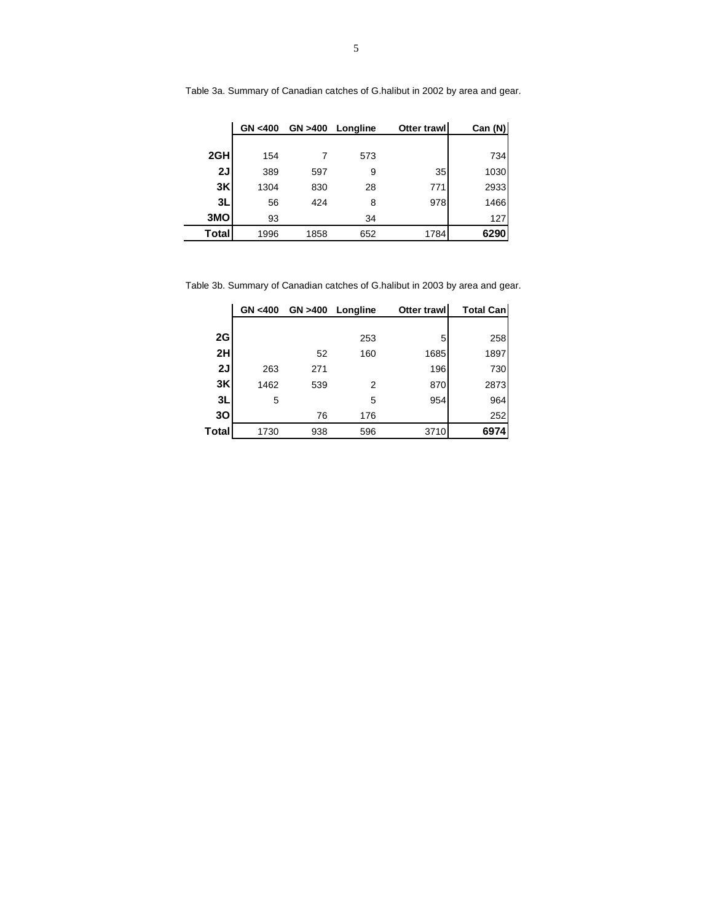|       | GN <400 |      | GN >400 Longline | Otter trawl | Can (N) |
|-------|---------|------|------------------|-------------|---------|
|       |         |      |                  |             |         |
| 2GH   | 154     |      | 573              |             | 734     |
| 2J    | 389     | 597  | 9                | 35          | 1030    |
| 3K    | 1304    | 830  | 28               | 771         | 2933    |
| 3L    | 56      | 424  | 8                | 978         | 1466    |
| 3MO   | 93      |      | 34               |             | 127     |
| Total | 1996    | 1858 | 652              | 1784        | 6290    |

Table 3a. Summary of Canadian catches of G.halibut in 2002 by area and gear.

Table 3b. Summary of Canadian catches of G.halibut in 2003 by area and gear.

|       | GN < 400 |     | GN >400 Longline | Otter trawl | <b>Total Can</b> |
|-------|----------|-----|------------------|-------------|------------------|
|       |          |     |                  |             |                  |
| 2G    |          |     | 253              | 5           | 258              |
| 2H    |          | 52  | 160              | 1685        | 1897             |
| 2J    | 263      | 271 |                  | 196         | 730              |
| 3K    | 1462     | 539 | 2                | 870         | 2873             |
| 3L    | 5        |     | 5                | 954         | 964              |
| 30    |          | 76  | 176              |             | 252              |
| Total | 1730     | 938 | 596              | 3710        | 6974             |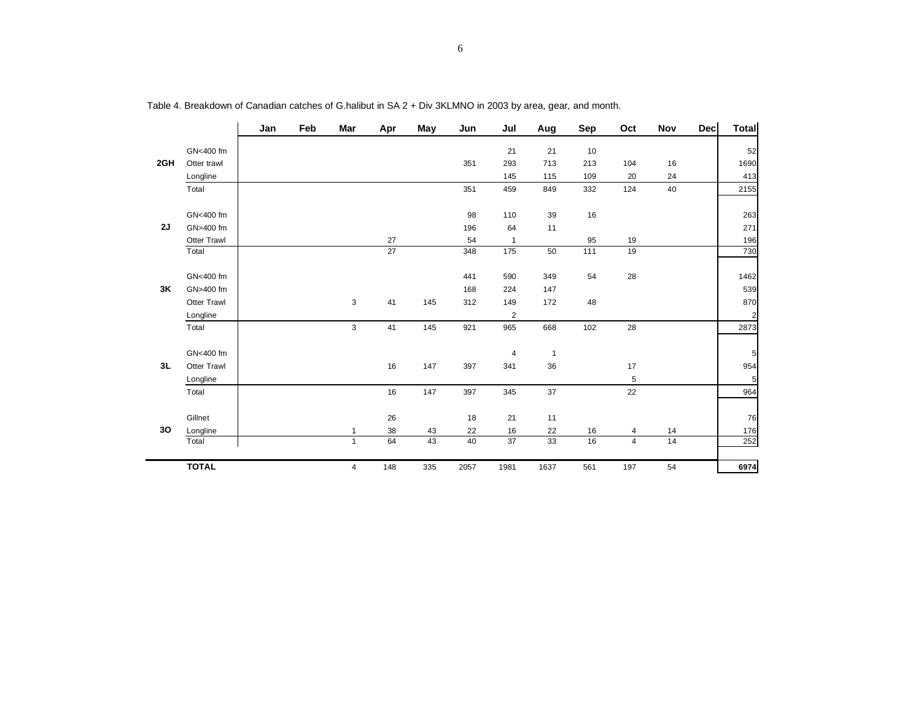|     |                    | Jan | Feb | Mar            | Apr             | May | Jun  | Jul             | Aug            | Sep               | Oct | Nov | <b>Dec</b> | Total          |
|-----|--------------------|-----|-----|----------------|-----------------|-----|------|-----------------|----------------|-------------------|-----|-----|------------|----------------|
|     | GN<400 fm          |     |     |                |                 |     |      | 21              | 21             | 10                |     |     |            | 52             |
| 2GH | Otter trawl        |     |     |                |                 |     | 351  | 293             | 713            | 213               | 104 | 16  |            | 1690           |
|     | Longline           |     |     |                |                 |     |      | 145             | 115            | 109               | 20  | 24  |            | 413            |
|     | Total              |     |     |                |                 |     | 351  | 459             | 849            | 332               | 124 | 40  |            | 2155           |
|     |                    |     |     |                |                 |     |      |                 |                |                   |     |     |            |                |
|     | GN<400 fm          |     |     |                |                 |     | 98   | 110             | 39             | 16                |     |     |            | 263            |
| 2J  | GN>400 fm          |     |     |                |                 |     | 196  | 64              | 11             |                   |     |     |            | 271            |
|     | <b>Otter Trawl</b> |     |     |                | 27              |     | 54   | $\mathbf{1}$    |                | 95                | 19  |     |            | 196            |
|     | Total              |     |     |                | $\overline{27}$ |     | 348  | $\frac{175}{2}$ | 50             | $\frac{111}{111}$ | 19  |     |            | 730            |
|     |                    |     |     |                |                 |     |      |                 |                |                   |     |     |            |                |
|     | GN<400 fm          |     |     |                |                 |     | 441  | 590             | 349            | 54                | 28  |     |            | 1462           |
| 3K  | GN>400 fm          |     |     |                |                 |     | 168  | 224             | 147            |                   |     |     |            | 539            |
|     | <b>Otter Trawl</b> |     |     | 3              | 41              | 145 | 312  | 149             | 172            | 48                |     |     |            | 870            |
|     | Longline           |     |     |                |                 |     |      | $\overline{2}$  |                |                   |     |     |            | 2 <sup>1</sup> |
|     | Total              |     |     | 3              | 41              | 145 | 921  | 965             | 668            | 102               | 28  |     |            | 2873           |
|     |                    |     |     |                |                 |     |      |                 |                |                   |     |     |            |                |
|     | GN<400 fm          |     |     |                |                 |     |      | $\overline{4}$  | $\overline{1}$ |                   |     |     |            | 5 <sub>5</sub> |
| 3L  | <b>Otter Trawl</b> |     |     |                | 16              | 147 | 397  | 341             | 36             |                   | 17  |     |            | 954            |
|     | Longline           |     |     |                |                 |     |      |                 |                |                   | 5   |     |            | 5              |
|     | Total              |     |     |                | 16              | 147 | 397  | 345             | 37             |                   | 22  |     |            | 964            |
|     |                    |     |     |                |                 |     |      |                 |                |                   |     |     |            |                |
|     | Gillnet            |     |     |                | 26              |     | 18   | 21              | 11             |                   |     |     |            | 76             |
| 30  | Longline           |     |     |                | 38              | 43  | 22   | 16              | 22             | 16                | 4   | 14  |            | 176            |
|     | Total              |     |     | $\mathbf{1}$   | 64              | 43  | 40   | $\overline{37}$ | 33             | 16                | 4   | 14  |            | 252            |
|     |                    |     |     |                |                 |     |      |                 |                |                   |     |     |            |                |
|     | <b>TOTAL</b>       |     |     | $\overline{4}$ | 148             | 335 | 2057 | 1981            | 1637           | 561               | 197 | 54  |            | 6974           |

Table 4. Breakdown of Canadian catches of G.halibut in SA 2 + Div 3KLMNO in 2003 by area, gear, and month.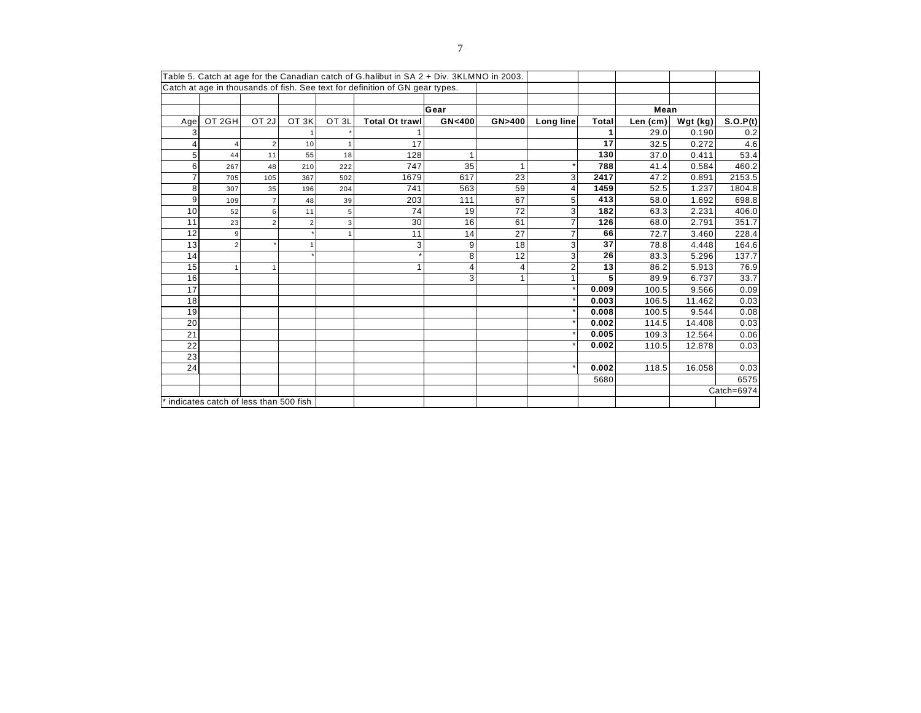| Table 5. Catch at age for the Canadian catch of G halibut in SA 2 + Div. 3KLMNO in 2003. |                                       |                  |                  |                  |                       |        |        |           |       |          |            |            |
|------------------------------------------------------------------------------------------|---------------------------------------|------------------|------------------|------------------|-----------------------|--------|--------|-----------|-------|----------|------------|------------|
| Catch at age in thousands of fish. See text for definition of GN gear types.             |                                       |                  |                  |                  |                       |        |        |           |       |          |            |            |
|                                                                                          |                                       |                  |                  |                  |                       |        |        |           |       |          |            |            |
|                                                                                          |                                       |                  |                  |                  |                       | Gear   |        |           |       | Mean     |            |            |
| Age                                                                                      | OT 2GH                                | OT <sub>2J</sub> | OT <sub>3K</sub> | OT <sub>3L</sub> | <b>Total Ot trawl</b> | GN<400 | GN>400 | Long line | Total | Len (cm) | Wgt $(kg)$ | S.O.P(t)   |
| 3                                                                                        |                                       |                  |                  |                  |                       |        |        |           | 1     | 29.0     | 0.190      | 0.2        |
| 4                                                                                        | $\overline{4}$                        | 2                | 10               |                  | 17                    |        |        |           | 17    | 32.5     | 0.272      | 4.6        |
| 5 <sup>1</sup>                                                                           | 44                                    | 11               | 55               | 18               | 128                   | ٠      |        |           | 130   | 37.0     | 0.411      | 53.4       |
| $6 \mid$                                                                                 | 267                                   | 48               | 210              | 222              | 747                   | 35     |        |           | 788   | 41.4     | 0.584      | 460.2      |
| $\overline{7}$                                                                           | 705                                   | 105              | 367              | 502              | 1679                  | 617    | 23     | 3         | 2417  | 47.2     | 0.891      | 2153.5     |
| 8 <sup>1</sup>                                                                           | 307                                   | 35               | 196              | 204              | 741                   | 563    | 59     |           | 1459  | 52.5     | 1.237      | 1804.8     |
| 9                                                                                        | 109                                   | $\overline{7}$   | 48               | 39               | 203                   | 111    | 67     | 5         | 413   | 58.0     | 1.692      | 698.8      |
| 10 <sup>1</sup>                                                                          | 52                                    | 6                | 11               | 5                | 74                    | 19     | 72     | 3         | 182   | 63.3     | 2.231      | 406.0      |
| 11                                                                                       | 23                                    | $\overline{2}$   |                  | 3                | 30                    | 16     | 61     |           | 126   | 68.0     | 2.791      | 351.7      |
| 12                                                                                       | 9                                     |                  |                  |                  | 11                    | 14     | 27     |           | 66    | 72.7     | 3.460      | 228.4      |
| 13                                                                                       | $\overline{2}$                        |                  |                  |                  | 3                     | 9      | 18     | 3         | 37    | 78.8     | 4.448      | 164.6      |
| 14                                                                                       |                                       |                  |                  |                  |                       | 8      | 12     | 3         | 26    | 83.3     | 5.296      | 137.7      |
| 15                                                                                       | $\overline{1}$                        | $\overline{1}$   |                  |                  | 1                     | ⊿      | 4      |           | 13    | 86.2     | 5.913      | 76.9       |
| 16                                                                                       |                                       |                  |                  |                  |                       | 3      |        |           | 5     | 89.9     | 6.737      | 33.7       |
| 17                                                                                       |                                       |                  |                  |                  |                       |        |        |           | 0.009 | 100.5    | 9.566      | 0.09       |
| 18                                                                                       |                                       |                  |                  |                  |                       |        |        |           | 0.003 | 106.5    | 11.462     | 0.03       |
| 19                                                                                       |                                       |                  |                  |                  |                       |        |        |           | 0.008 | 100.5    | 9.544      | 0.08       |
| 20                                                                                       |                                       |                  |                  |                  |                       |        |        |           | 0.002 | 114.5    | 14.408     | 0.03       |
| 21                                                                                       |                                       |                  |                  |                  |                       |        |        |           | 0.005 | 109.3    | 12.564     | 0.06       |
| 22                                                                                       |                                       |                  |                  |                  |                       |        |        |           | 0.002 | 110.5    | 12.878     | 0.03       |
| 23                                                                                       |                                       |                  |                  |                  |                       |        |        |           |       |          |            |            |
| 24                                                                                       |                                       |                  |                  |                  |                       |        |        |           | 0.002 | 118.5    | 16.058     | 0.03       |
|                                                                                          |                                       |                  |                  |                  |                       |        |        |           | 5680  |          |            | 6575       |
|                                                                                          |                                       |                  |                  |                  |                       |        |        |           |       |          |            | Catch=6974 |
|                                                                                          | indicates catch of less than 500 fish |                  |                  |                  |                       |        |        |           |       |          |            |            |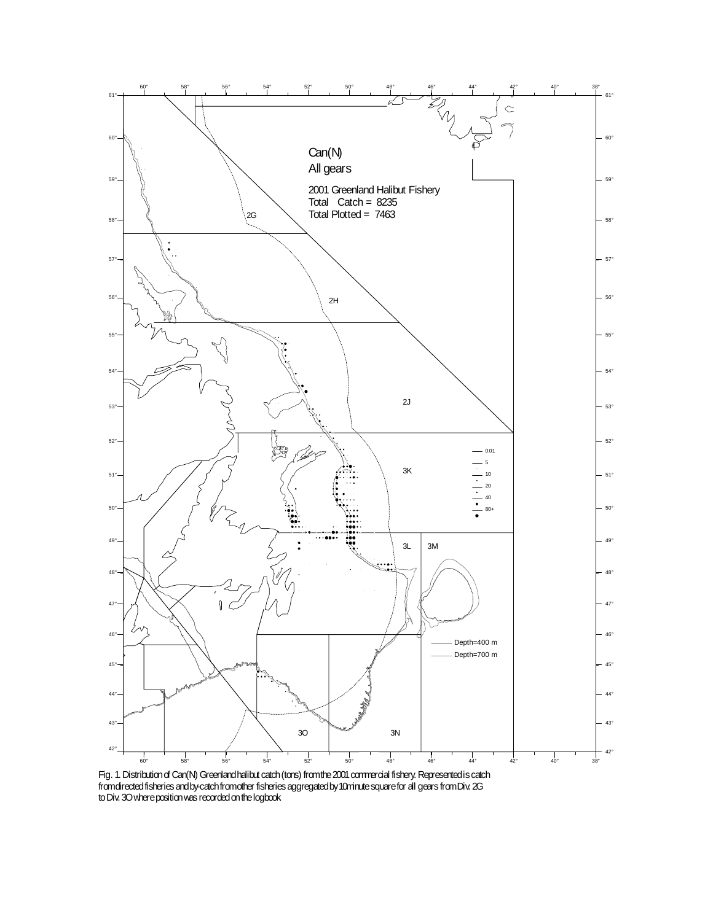

Fig. 1. Distribution of Can(N) Greenland halibut catch (tons) from the 2001 commercial fishery. Represented is catch from directed fisheries and by-catch from other fisheries aggregated by 10minute square for all gears from Div. 2G to Div. 3O where position was recorded on the logbook.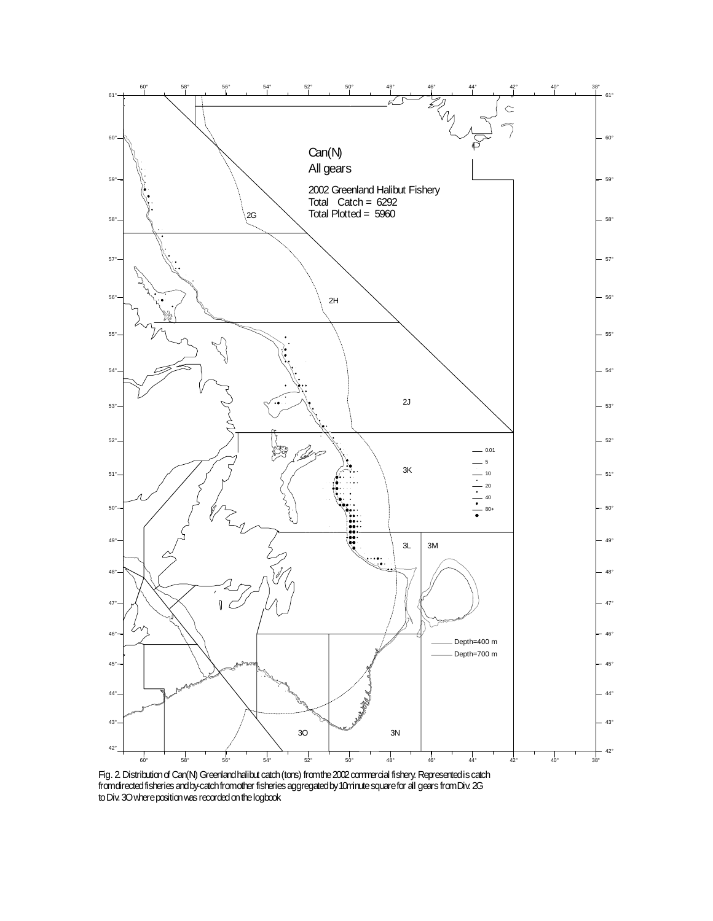

Fig. 2. Distribution of Can(N) Greenland halibut catch (tons) from the 2002 commercial fishery. Represented is catch from directed fisheries and by-catch from other fisheries aggregated by 10minute square for all gears from Div. 2G to Div. 3O where position was recorded on the logbook.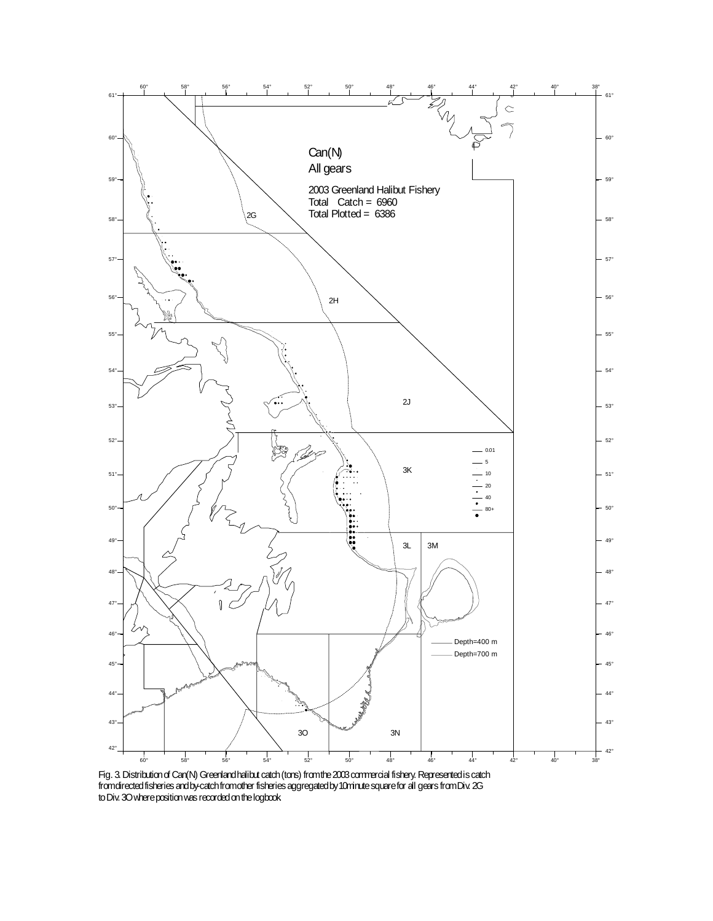

Fig. 3. Distribution of Can(N) Greenland halibut catch (tons) from the 2003 commercial fishery. Represented is catch from directed fisheries and by-catch from other fisheries aggregated by 10minute square for all gears from Div. 2G to Div. 3O where position was recorded on the logbook.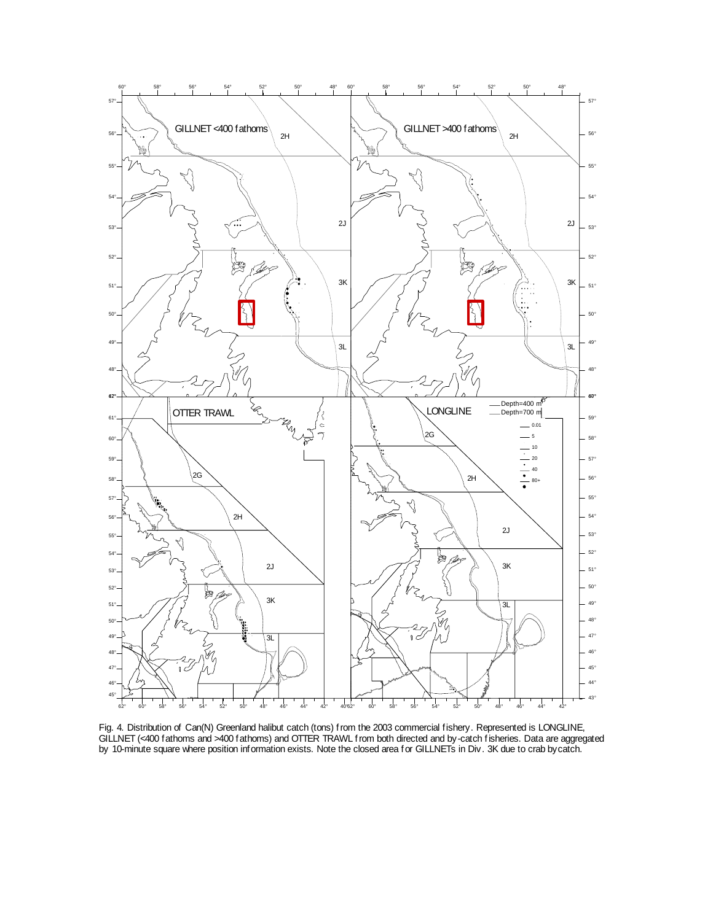

Fig. 4. Distribution of Can(N) Greenland halibut catch (tons) from the 2003 commercial fishery. Represented is LONGLINE, GILLNET (<400 fathoms and >400 fathoms) and OTTER TRAWL from both directed and by-catch fisheries. Data are aggregated by 10-minute square where position information exists. Note the closed area for GILLNETs in Div. 3K due to crab bycatch.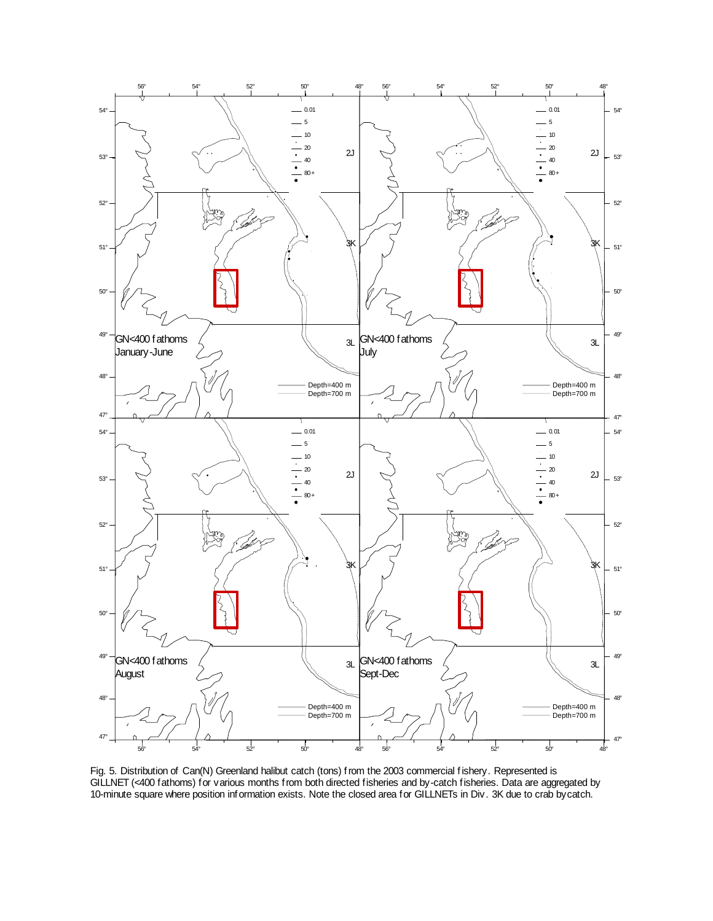

Fig. 5. Distribution of Can(N) Greenland halibut catch (tons) from the 2003 commercial fishery. Represented is GILLNET (<400 fathoms) for various months from both directed fisheries and by-catch fisheries. Data are aggregated by 10-minute square where position information exists. Note the closed area for GILLNETs in Div. 3K due to crab bycatch.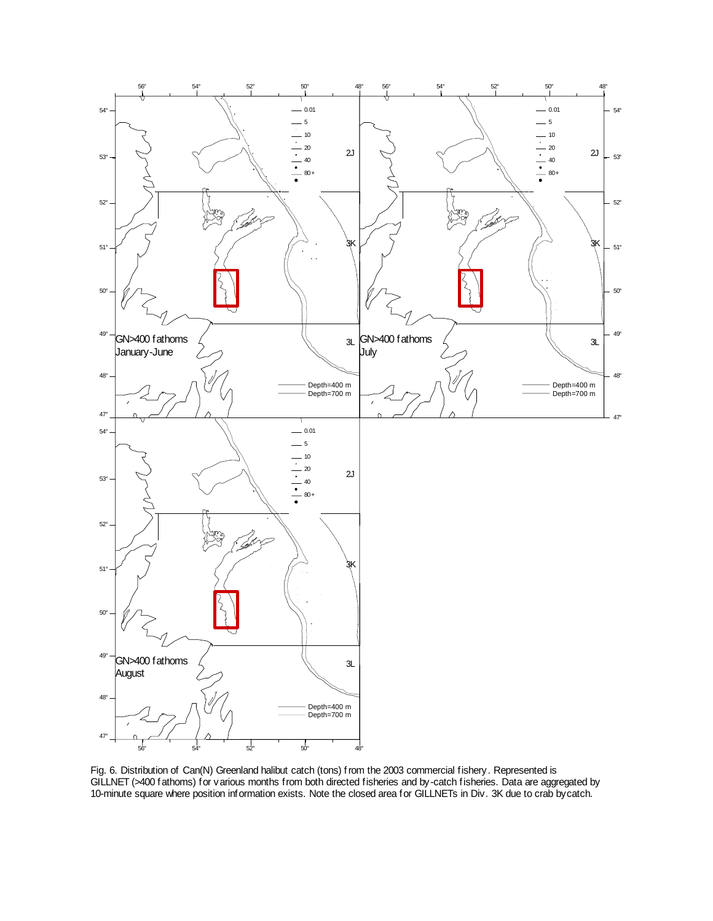

Fig. 6. Distribution of Can(N) Greenland halibut catch (tons) from the 2003 commercial fishery. Represented is GILLNET (>400 fathoms) for various months from both directed fisheries and by-catch fisheries. Data are aggregated by 10-minute square where position information exists. Note the closed area for GILLNETs in Div. 3K due to crab bycatch.